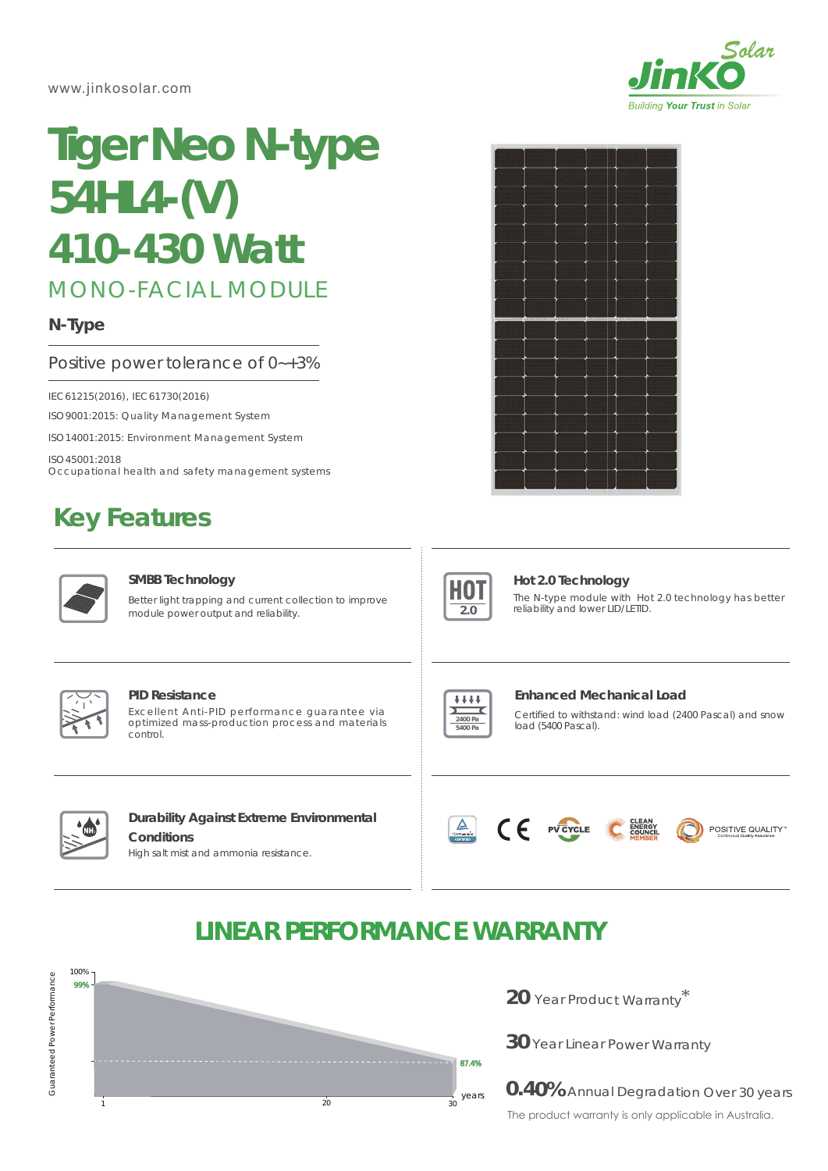www.jinkosolar.com



# **Tiger Neo N-type 54HL4-(V)** *410-430 Watt*

# MONO-FACIAL MODULE

# **N-Type**

## Positive power tolerance of 0~+3%

IEC61215(2016), IEC61730(2016)

ISO9001:2015: Quality Management System

ISO14001:2015: Environment Management System

ISO45001:2018 Occupational health and safety management systems

# **Key Features**



### **SMBB Technology**

Better light trapping and current collection to improve module power output and reliability.





# **Hot 2.0 Technology**

The N-type module with Hot 2.0 technology has better reliability and lower LID/LETID.



#### **PID Resistance**

Excellent Anti-PID performance guarantee via optimized mass-production process and materials control.



### **Enhanced Mechanical Load**

Certified to withstand: wind load (2400 Pascal) and snow load (5400 Pascal).



# **Durability Against Extreme Environmental Conditions**

High salt mist and ammonia resistance.



CE

PV CYCLE



POSITIVE QUALITY"

# **LINEAR PERFORMANCE WARRANTY**



**20** Year Product Warranty \*

**30** Year Linear Power Warranty

**0.40%** Annual Degradation Over 30 years The product warranty is only applicable in Australia.